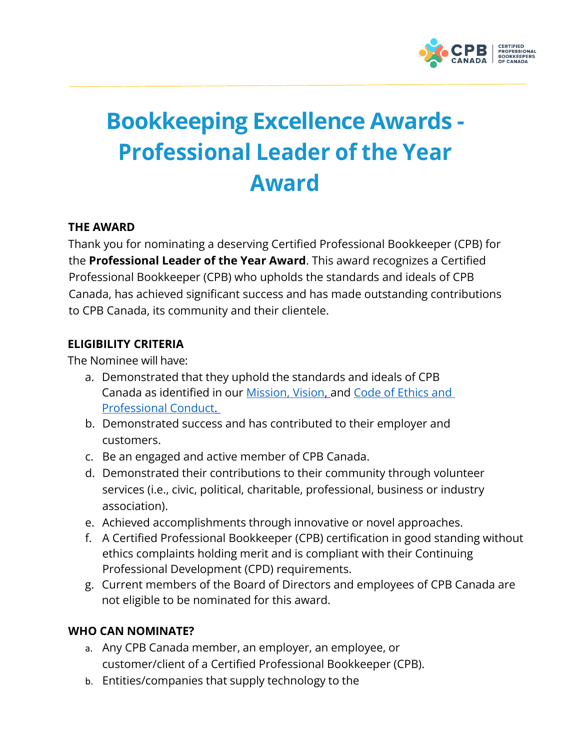

# **Bookkeeping Excellence Awards - Professional Leader of the Year Award**

# **THE AWARD**

Thank you for nominating a deserving Certified Professional Bookkeeper (CPB) for the **Professional Leader of the Year Award**. This award recognizes a Certified Professional Bookkeeper (CPB) who upholds the standards and ideals of CPB Canada, has achieved significant success and has made outstanding contributions to CPB Canada, its community and their clientele.

## **ELIGIBILITY CRITERIA**

The Nominee will have:

- a. Demonstrated that they uphold the standards and ideals of CPB Canada as identified in our [Mission, Vision, a](https://cpbcan.ca/about/about.html)nd [Code of Ethics and](https://cpbcan.ca/about/ethics/code-of-conduct.html)  [Professional Conduct.](https://cpbcan.ca/about/ethics/code-of-conduct.html)
- b. Demonstrated success and has contributed to their employer and customers.
- c. Be an engaged and active member of CPB Canada.
- d. Demonstrated their contributions to their community through volunteer services (i.e., civic, political, charitable, professional, business or industry association).
- e. Achieved accomplishments through innovative or novel approaches.
- f. A Certified Professional Bookkeeper (CPB) certification in good standing without ethics complaints holding merit and is compliant with their Continuing Professional Development (CPD) requirements.
- g. Current members of the Board of Directors and employees of CPB Canada are not eligible to be nominated for this award.

# **WHO CAN NOMINATE?**

- a. Any CPB Canada member, an employer, an employee, or customer/client of a Certified Professional Bookkeeper (CPB).
- b. Entities/companies that supply technology to the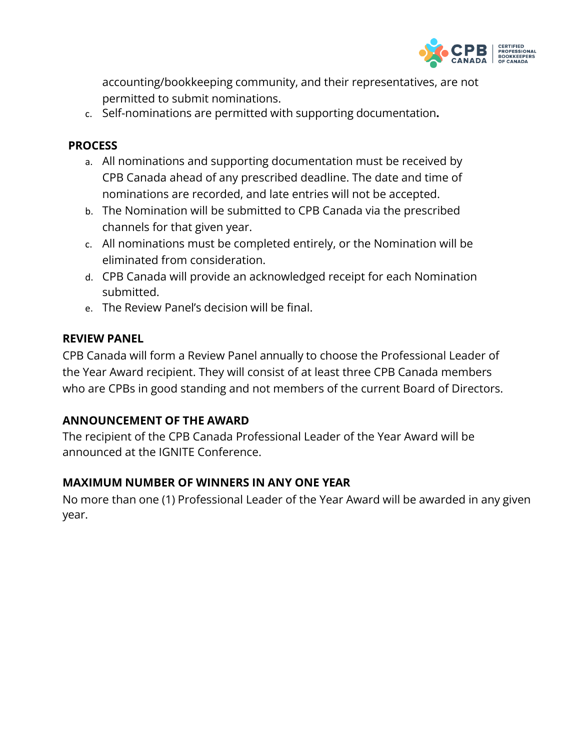

accounting/bookkeeping community, and their representatives, are not permitted to submit nominations.

c. Self-nominations are permitted with supporting documentation**.**

## **PROCESS**

- a. All nominations and supporting documentation must be received by CPB Canada ahead of any prescribed deadline. The date and time of nominations are recorded, and late entries will not be accepted.
- b. The Nomination will be submitted to CPB Canada via the prescribed channels for that given year.
- c. All nominations must be completed entirely, or the Nomination will be eliminated from consideration.
- d. CPB Canada will provide an acknowledged receipt for each Nomination submitted.
- e. The Review Panel's decision will be final.

#### **REVIEW PANEL**

CPB Canada will form a Review Panel annually to choose the Professional Leader of the Year Award recipient. They will consist of at least three CPB Canada members who are CPBs in good standing and not members of the current Board of Directors.

#### **ANNOUNCEMENT OF THE AWARD**

The recipient of the CPB Canada Professional Leader of the Year Award will be announced at the IGNITE Conference.

#### **MAXIMUM NUMBER OF WINNERS IN ANY ONE YEAR**

No more than one (1) Professional Leader of the Year Award will be awarded in any given year.